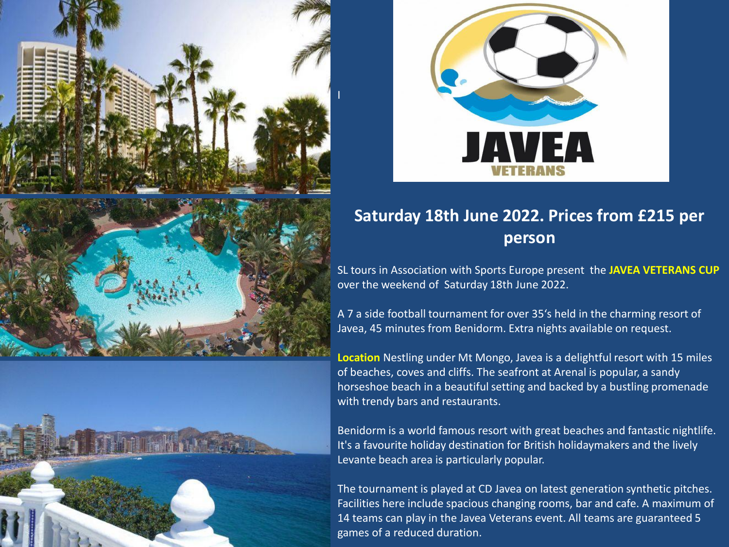







## **Saturday 18th June 2022. Prices from £215 per person**

SL tours in Association with Sports Europe present the **JAVEA VETERANS CUP**  over the weekend of Saturday 18th June 2022.

A 7 a side football tournament for over 35's held in the charming resort of Javea, 45 minutes from Benidorm. Extra nights available on request.

**Location** Nestling under Mt Mongo, Javea is a delightful resort with 15 miles of beaches, coves and cliffs. The seafront at Arenal is popular, a sandy horseshoe beach in a beautiful setting and backed by a bustling promenade with trendy bars and restaurants.

Benidorm is a world famous resort with great beaches and fantastic nightlife. It's a favourite holiday destination for British holidaymakers and the lively Levante beach area is particularly popular.

The tournament is played at CD Javea on latest generation synthetic pitches. Facilities here include spacious changing rooms, bar and cafe. A maximum of 14 teams can play in the Javea Veterans event. All teams are guaranteed 5 games of a reduced duration.